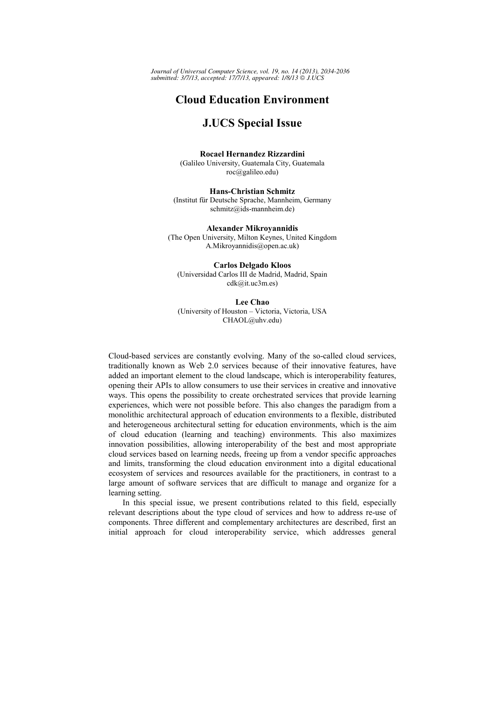*Journal of Universal Computer Science, vol. 19, no. 14 (2013), 2034-2036 submitted: 3/7/13, accepted: 17/7/13, appeared: 1/8/13 J.UCS*

## **Cloud Education Environment**

## **J.UCS Special Issue**

**Rocael Hernandez Rizzardini**  (Galileo University, Guatemala City, Guatemala roc@galileo.edu)

**Hans-Christian Schmitz**  (Institut für Deutsche Sprache, Mannheim, Germany schmitz@ids-mannheim.de)

**Alexander Mikroyannidis**  (The Open University, Milton Keynes, United Kingdom A.Mikroyannidis@open.ac.uk)

**Carlos Delgado Kloos**  (Universidad Carlos III de Madrid, Madrid, Spain cdk@it.uc3m.es)

**Lee Chao**  (University of Houston – Victoria, Victoria, USA CHAOL@uhv.edu)

Cloud-based services are constantly evolving. Many of the so-called cloud services, traditionally known as Web 2.0 services because of their innovative features, have added an important element to the cloud landscape, which is interoperability features, opening their APIs to allow consumers to use their services in creative and innovative ways. This opens the possibility to create orchestrated services that provide learning experiences, which were not possible before. This also changes the paradigm from a monolithic architectural approach of education environments to a flexible, distributed and heterogeneous architectural setting for education environments, which is the aim of cloud education (learning and teaching) environments. This also maximizes innovation possibilities, allowing interoperability of the best and most appropriate cloud services based on learning needs, freeing up from a vendor specific approaches and limits, transforming the cloud education environment into a digital educational ecosystem of services and resources available for the practitioners, in contrast to a large amount of software services that are difficult to manage and organize for a learning setting.

In this special issue, we present contributions related to this field, especially relevant descriptions about the type cloud of services and how to address re-use of components. Three different and complementary architectures are described, first an initial approach for cloud interoperability service, which addresses general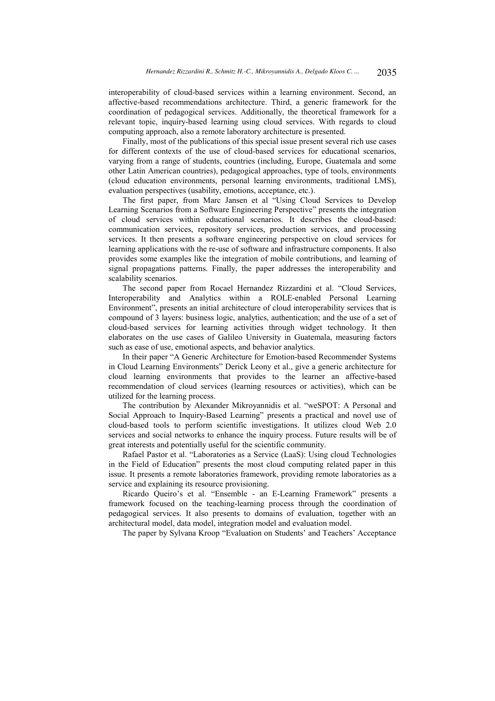interoperability of cloud-based services within a learning environment. Second, an affective-based recommendations architecture. Third, a generic framework for the coordination of pedagogical services. Additionally, the theoretical framework for a relevant topic, inquiry-based learning using cloud services. With regards to cloud computing approach, also a remote laboratory architecture is presented.

Finally, most of the publications of this special issue present several rich use cases for different contexts of the use of cloud-based services for educational scenarios, varying from a range of students, countries (including, Europe, Guatemala and some other Latin American countries), pedagogical approaches, type of tools, environments (cloud education environments, personal learning environments, traditional LMS), evaluation perspectives (usability, emotions, acceptance, etc.).

The first paper, from Marc Jansen et al "Using Cloud Services to Develop Learning Scenarios from a Software Engineering Perspective" presents the integration of cloud services within educational scenarios. It describes the cloud-based: communication services, repository services, production services, and processing services. It then presents a software engineering perspective on cloud services for learning applications with the re-use of software and infrastructure components. It also provides some examples like the integration of mobile contributions, and learning of signal propagations patterns. Finally, the paper addresses the interoperability and scalability scenarios.

The second paper from Rocael Hernandez Rizzardini et al. "Cloud Services, Interoperability and Analytics within a ROLE-enabled Personal Learning Environment", presents an initial architecture of cloud interoperability services that is compound of 3 layers: business logic, analytics, authentication; and the use of a set of cloud-based services for learning activities through widget technology. It then elaborates on the use cases of Galileo University in Guatemala, measuring factors such as ease of use, emotional aspects, and behavior analytics.

In their paper "A Generic Architecture for Emotion-based Recommender Systems in Cloud Learning Environments" Derick Leony et al., give a generic architecture for cloud learning environments that provides to the learner an affective-based recommendation of cloud services (learning resources or activities), which can be utilized for the learning process.

The contribution by Alexander Mikroyannidis et al. "weSPOT: A Personal and Social Approach to Inquiry-Based Learning" presents a practical and novel use of cloud-based tools to perform scientific investigations. It utilizes cloud Web 2.0 services and social networks to enhance the inquiry process. Future results will be of great interests and potentially useful for the scientific community.

Rafael Pastor et al. "Laboratories as a Service (LaaS): Using cloud Technologies in the Field of Education" presents the most cloud computing related paper in this issue. It presents a remote laboratories framework, providing remote laboratories as a service and explaining its resource provisioning.

Ricardo Queiro's et al. "Ensemble - an E-Learning Framework" presents a framework focused on the teaching-learning process through the coordination of pedagogical services. It also presents to domains of evaluation, together with an architectural model, data model, integration model and evaluation model.

The paper by Sylvana Kroop "Evaluation on Students' and Teachers' Acceptance